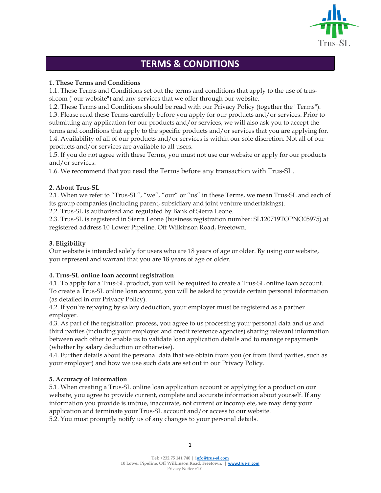

# TERMS & CONDITIONS

# 1. These Terms and Conditions

1.1. These Terms and Conditions set out the terms and conditions that apply to the use of trussl.com ("our website") and any services that we offer through our website.

1.2. These Terms and Conditions should be read with our Privacy Policy (together the "Terms"). 1.3. Please read these Terms carefully before you apply for our products and/or services. Prior to submitting any application for our products and/or services, we will also ask you to accept the terms and conditions that apply to the specific products and/or services that you are applying for. 1.4. Availability of all of our products and/or services is within our sole discretion. Not all of our products and/or services are available to all users.

1.5. If you do not agree with these Terms, you must not use our website or apply for our products and/or services.

1.6. We recommend that you read the Terms before any transaction with Trus-SL.

### 2. About Trus-SL

2.1. When we refer to "Trus-SL", "we", "our" or "us" in these Terms, we mean Trus-SL and each of its group companies (including parent, subsidiary and joint venture undertakings).

2.2. Trus-SL is authorised and regulated by Bank of Sierra Leone.

2.3. Trus-SL is registered in Sierra Leone (business registration number: SL120719TOPNO05975) at registered address 10 Lower Pipeline. Off Wilkinson Road, Freetown.

## 3. Eligibility

Our website is intended solely for users who are 18 years of age or older. By using our website, you represent and warrant that you are 18 years of age or older.

### 4. Trus-SL online loan account registration

4.1. To apply for a Trus-SL product, you will be required to create a Trus-SL online loan account. To create a Trus-SL online loan account, you will be asked to provide certain personal information (as detailed in our Privacy Policy).

4.2. If you're repaying by salary deduction, your employer must be registered as a partner employer.

4.3. As part of the registration process, you agree to us processing your personal data and us and third parties (including your employer and credit reference agencies) sharing relevant information between each other to enable us to validate loan application details and to manage repayments (whether by salary deduction or otherwise).

4.4. Further details about the personal data that we obtain from you (or from third parties, such as your employer) and how we use such data are set out in our Privacy Policy.

# 5. Accuracy of information

5.1. When creating a Trus-SL online loan application account or applying for a product on our website, you agree to provide current, complete and accurate information about yourself. If any information you provide is untrue, inaccurate, not current or incomplete, we may deny your application and terminate your Trus-SL account and/or access to our website. 5.2. You must promptly notify us of any changes to your personal details.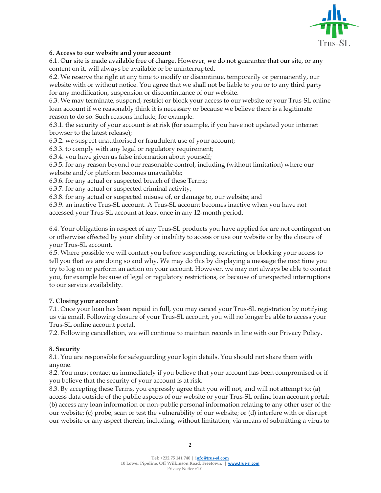

## 6. Access to our website and your account

6.1. Our site is made available free of charge. However, we do not guarantee that our site, or any content on it, will always be available or be uninterrupted.

6.2. We reserve the right at any time to modify or discontinue, temporarily or permanently, our website with or without notice. You agree that we shall not be liable to you or to any third party for any modification, suspension or discontinuance of our website.

6.3. We may terminate, suspend, restrict or block your access to our website or your Trus-SL online loan account if we reasonably think it is necessary or because we believe there is a legitimate reason to do so. Such reasons include, for example:

6.3.1. the security of your account is at risk (for example, if you have not updated your internet browser to the latest release);

6.3.2. we suspect unauthorised or fraudulent use of your account;

6.3.3. to comply with any legal or regulatory requirement;

6.3.4. you have given us false information about yourself;

6.3.5. for any reason beyond our reasonable control, including (without limitation) where our website and/or platform becomes unavailable;

6.3.6. for any actual or suspected breach of these Terms;

6.3.7. for any actual or suspected criminal activity;

6.3.8. for any actual or suspected misuse of, or damage to, our website; and

6.3.9. an inactive Trus-SL account. A Trus-SL account becomes inactive when you have not accessed your Trus-SL account at least once in any 12-month period.

6.4. Your obligations in respect of any Trus-SL products you have applied for are not contingent on or otherwise affected by your ability or inability to access or use our website or by the closure of your Trus-SL account.

6.5. Where possible we will contact you before suspending, restricting or blocking your access to tell you that we are doing so and why. We may do this by displaying a message the next time you try to log on or perform an action on your account. However, we may not always be able to contact you, for example because of legal or regulatory restrictions, or because of unexpected interruptions to our service availability.

### 7. Closing your account

7.1. Once your loan has been repaid in full, you may cancel your Trus-SL registration by notifying us via email. Following closure of your Trus-SL account, you will no longer be able to access your Trus-SL online account portal.

7.2. Following cancellation, we will continue to maintain records in line with our Privacy Policy.

# 8. Security

8.1. You are responsible for safeguarding your login details. You should not share them with anyone.

8.2. You must contact us immediately if you believe that your account has been compromised or if you believe that the security of your account is at risk.

8.3. By accepting these Terms, you expressly agree that you will not, and will not attempt to: (a) access data outside of the public aspects of our website or your Trus-SL online loan account portal;

(b) access any loan information or non-public personal information relating to any other user of the our website; (c) probe, scan or test the vulnerability of our website; or (d) interfere with or disrupt our website or any aspect therein, including, without limitation, via means of submitting a virus to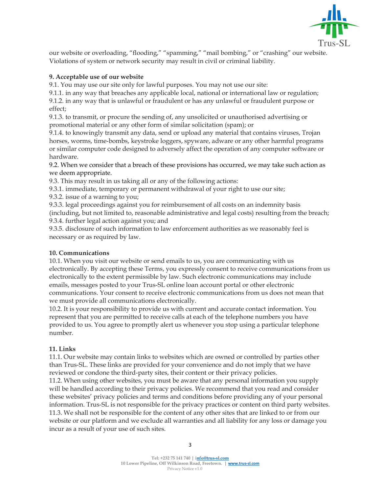

our website or overloading, "flooding," "spamming," "mail bombing," or "crashing" our website. Violations of system or network security may result in civil or criminal liability.

## 9. Acceptable use of our website

9.1. You may use our site only for lawful purposes. You may not use our site:

9.1.1. in any way that breaches any applicable local, national or international law or regulation;

9.1.2. in any way that is unlawful or fraudulent or has any unlawful or fraudulent purpose or effect;

9.1.3. to transmit, or procure the sending of, any unsolicited or unauthorised advertising or promotional material or any other form of similar solicitation (spam); or

9.1.4. to knowingly transmit any data, send or upload any material that contains viruses, Trojan horses, worms, time-bombs, keystroke loggers, spyware, adware or any other harmful programs or similar computer code designed to adversely affect the operation of any computer software or hardware.

9.2. When we consider that a breach of these provisions has occurred, we may take such action as we deem appropriate.

9.3. This may result in us taking all or any of the following actions:

9.3.1. immediate, temporary or permanent withdrawal of your right to use our site;

9.3.2. issue of a warning to you;

9.3.3. legal proceedings against you for reimbursement of all costs on an indemnity basis (including, but not limited to, reasonable administrative and legal costs) resulting from the breach; 9.3.4. further legal action against you; and

9.3.5. disclosure of such information to law enforcement authorities as we reasonably feel is necessary or as required by law.

### 10. Communications

10.1. When you visit our website or send emails to us, you are communicating with us electronically. By accepting these Terms, you expressly consent to receive communications from us electronically to the extent permissible by law. Such electronic communications may include emails, messages posted to your Trus-SL online loan account portal or other electronic communications. Your consent to receive electronic communications from us does not mean that we must provide all communications electronically.

10.2. It is your responsibility to provide us with current and accurate contact information. You represent that you are permitted to receive calls at each of the telephone numbers you have provided to us. You agree to promptly alert us whenever you stop using a particular telephone number.

### 11. Links

11.1. Our website may contain links to websites which are owned or controlled by parties other than Trus-SL. These links are provided for your convenience and do not imply that we have reviewed or condone the third-party sites, their content or their privacy policies.

11.2. When using other websites, you must be aware that any personal information you supply will be handled according to their privacy policies. We recommend that you read and consider these websites' privacy policies and terms and conditions before providing any of your personal information. Trus-SL is not responsible for the privacy practices or content on third party websites. 11.3. We shall not be responsible for the content of any other sites that are linked to or from our website or our platform and we exclude all warranties and all liability for any loss or damage you incur as a result of your use of such sites.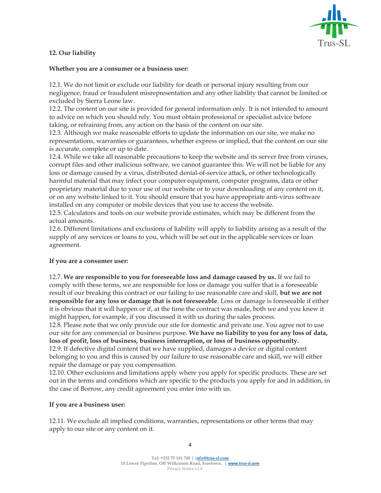

# 12. Our liability

#### Whether you are a consumer or a business user:

12.1. We do not limit or exclude our liability for death or personal injury resulting from our negligence, fraud or fraudulent misrepresentation and any other liability that cannot be limited or excluded by Sierra Leone law.

12.2. The content on our site is provided for general information only. It is not intended to amount to advice on which you should rely. You must obtain professional or specialist advice before taking, or refraining from, any action on the basis of the content on our site.

12.3. Although we make reasonable efforts to update the information on our site, we make no representations, warranties or guarantees, whether express or implied, that the content on our site is accurate, complete or up to date.

12.4. While we take all reasonable precautions to keep the website and its server free from viruses, corrupt files and other malicious software, we cannot guarantee this. We will not be liable for any loss or damage caused by a virus, distributed denial-of-service attack, or other technologically harmful material that may infect your computer equipment, computer programs, data or other proprietary material due to your use of our website or to your downloading of any content on it, or on any website linked to it. You should ensure that you have appropriate anti-virus software installed on any computer or mobile devices that you use to access the website.

12.5. Calculators and tools on our website provide estimates, which may be different from the actual amounts.

12.6. Different limitations and exclusions of liability will apply to liability arising as a result of the supply of any services or loans to you, which will be set out in the applicable services or loan agreement.

### If you are a consumer user:

12.7. We are responsible to you for foreseeable loss and damage caused by us. If we fail to comply with these terms, we are responsible for loss or damage you suffer that is a foreseeable result of our breaking this contract or our failing to use reasonable care and skill, but we are not responsible for any loss or damage that is not foreseeable. Loss or damage is foreseeable if either it is obvious that it will happen or if, at the time the contract was made, both we and you knew it might happen, for example, if you discussed it with us during the sales process.

12.8. Please note that we only provide our site for domestic and private use. You agree not to use our site for any commercial or business purpose. We have no liability to you for any loss of data, loss of profit, loss of business, business interruption, or loss of business opportunity.

12.9. If defective digital content that we have supplied, damages a device or digital content belonging to you and this is caused by our failure to use reasonable care and skill, we will either repair the damage or pay you compensation.

12.10. Other exclusions and limitations apply where you apply for specific products. These are set out in the terms and conditions which are specific to the products you apply for and in addition, in the case of Borrow, any credit agreement you enter into with us.

### If you are a business user:

12.11. We exclude all implied conditions, warranties, representations or other terms that may apply to our site or any content on it.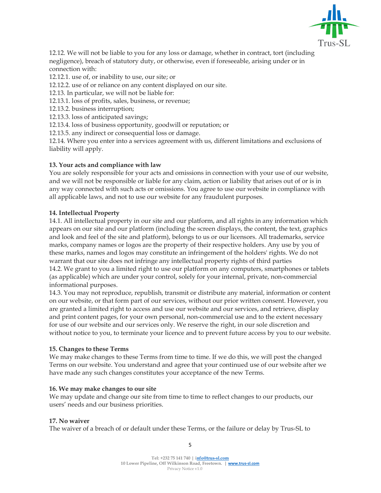

12.12. We will not be liable to you for any loss or damage, whether in contract, tort (including negligence), breach of statutory duty, or otherwise, even if foreseeable, arising under or in connection with:

12.12.1. use of, or inability to use, our site; or

12.12.2. use of or reliance on any content displayed on our site.

12.13. In particular, we will not be liable for:

12.13.1. loss of profits, sales, business, or revenue;

12.13.2. business interruption;

12.13.3. loss of anticipated savings;

12.13.4. loss of business opportunity, goodwill or reputation; or

12.13.5. any indirect or consequential loss or damage.

12.14. Where you enter into a services agreement with us, different limitations and exclusions of liability will apply.

#### 13. Your acts and compliance with law

You are solely responsible for your acts and omissions in connection with your use of our website, and we will not be responsible or liable for any claim, action or liability that arises out of or is in any way connected with such acts or omissions. You agree to use our website in compliance with all applicable laws, and not to use our website for any fraudulent purposes.

#### 14. Intellectual Property

14.1. All intellectual property in our site and our platform, and all rights in any information which appears on our site and our platform (including the screen displays, the content, the text, graphics and look and feel of the site and platform), belongs to us or our licensors. All trademarks, service marks, company names or logos are the property of their respective holders. Any use by you of these marks, names and logos may constitute an infringement of the holders' rights. We do not warrant that our site does not infringe any intellectual property rights of third parties 14.2. We grant to you a limited right to use our platform on any computers, smartphones or tablets (as applicable) which are under your control, solely for your internal, private, non-commercial informational purposes.

14.3. You may not reproduce, republish, transmit or distribute any material, information or content on our website, or that form part of our services, without our prior written consent. However, you are granted a limited right to access and use our website and our services, and retrieve, display and print content pages, for your own personal, non-commercial use and to the extent necessary for use of our website and our services only. We reserve the right, in our sole discretion and without notice to you, to terminate your licence and to prevent future access by you to our website.

#### 15. Changes to these Terms

We may make changes to these Terms from time to time. If we do this, we will post the changed Terms on our website. You understand and agree that your continued use of our website after we have made any such changes constitutes your acceptance of the new Terms.

#### 16. We may make changes to our site

We may update and change our site from time to time to reflect changes to our products, our users' needs and our business priorities.

#### 17. No waiver

The waiver of a breach of or default under these Terms, or the failure or delay by Trus-SL to